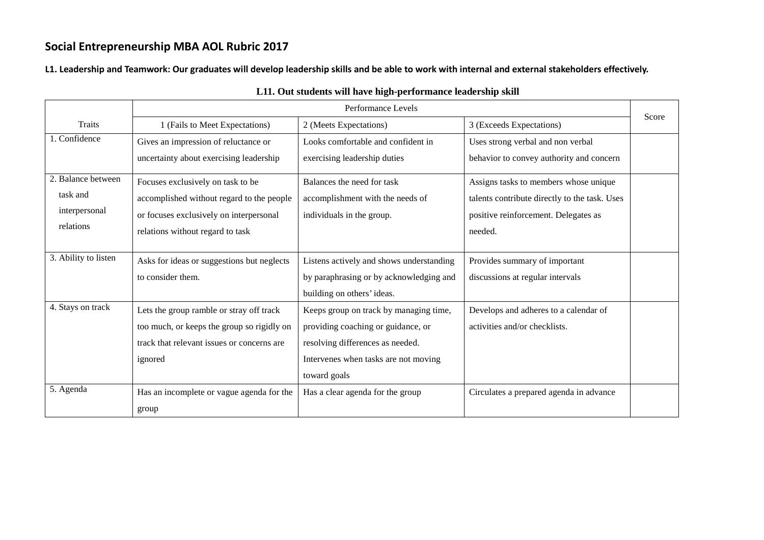**L1. Leadership and Teamwork: Our graduates will develop leadership skills and be able to work with internal and external stakeholders effectively.** 

|                      | Performance Levels                         |                                          |                                               | Score |
|----------------------|--------------------------------------------|------------------------------------------|-----------------------------------------------|-------|
| <b>Traits</b>        | 1 (Fails to Meet Expectations)             | 2 (Meets Expectations)                   | 3 (Exceeds Expectations)                      |       |
| 1. Confidence        | Gives an impression of reluctance or       | Looks comfortable and confident in       | Uses strong verbal and non verbal             |       |
|                      | uncertainty about exercising leadership    | exercising leadership duties             | behavior to convey authority and concern      |       |
| 2. Balance between   | Focuses exclusively on task to be          | Balances the need for task               | Assigns tasks to members whose unique         |       |
| task and             | accomplished without regard to the people  | accomplishment with the needs of         | talents contribute directly to the task. Uses |       |
| interpersonal        | or focuses exclusively on interpersonal    | individuals in the group.                | positive reinforcement. Delegates as          |       |
| relations            | relations without regard to task           |                                          | needed.                                       |       |
|                      |                                            |                                          |                                               |       |
| 3. Ability to listen | Asks for ideas or suggestions but neglects | Listens actively and shows understanding | Provides summary of important                 |       |
|                      | to consider them.                          | by paraphrasing or by acknowledging and  | discussions at regular intervals              |       |
|                      |                                            | building on others' ideas.               |                                               |       |
| 4. Stays on track    | Lets the group ramble or stray off track   | Keeps group on track by managing time,   | Develops and adheres to a calendar of         |       |
|                      | too much, or keeps the group so rigidly on | providing coaching or guidance, or       | activities and/or checklists.                 |       |
|                      | track that relevant issues or concerns are | resolving differences as needed.         |                                               |       |
|                      | ignored                                    | Intervenes when tasks are not moving     |                                               |       |
|                      |                                            | toward goals                             |                                               |       |
| 5. Agenda            | Has an incomplete or vague agenda for the  | Has a clear agenda for the group         | Circulates a prepared agenda in advance       |       |
|                      | group                                      |                                          |                                               |       |

### **L11. Out students will have high-performance leadership skill**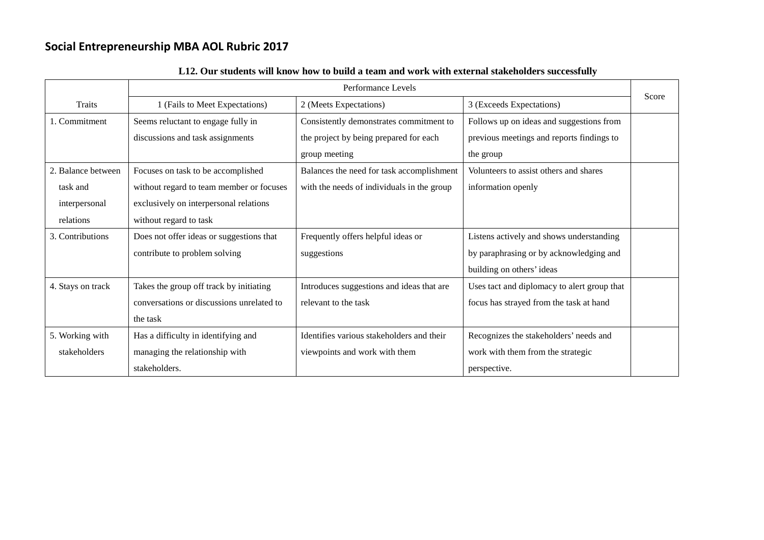|                    | Performance Levels                        |                                            |                                             |       |
|--------------------|-------------------------------------------|--------------------------------------------|---------------------------------------------|-------|
| <b>Traits</b>      | 1 (Fails to Meet Expectations)            | 2 (Meets Expectations)                     | 3 (Exceeds Expectations)                    | Score |
| 1. Commitment      | Seems reluctant to engage fully in        | Consistently demonstrates commitment to    | Follows up on ideas and suggestions from    |       |
|                    | discussions and task assignments          | the project by being prepared for each     | previous meetings and reports findings to   |       |
|                    |                                           | group meeting                              | the group                                   |       |
| 2. Balance between | Focuses on task to be accomplished        | Balances the need for task accomplishment  | Volunteers to assist others and shares      |       |
| task and           | without regard to team member or focuses  | with the needs of individuals in the group | information openly                          |       |
| interpersonal      | exclusively on interpersonal relations    |                                            |                                             |       |
| relations          | without regard to task                    |                                            |                                             |       |
| 3. Contributions   | Does not offer ideas or suggestions that  | Frequently offers helpful ideas or         | Listens actively and shows understanding    |       |
|                    | contribute to problem solving             | suggestions                                | by paraphrasing or by acknowledging and     |       |
|                    |                                           |                                            | building on others' ideas                   |       |
| 4. Stays on track  | Takes the group off track by initiating   | Introduces suggestions and ideas that are  | Uses tact and diplomacy to alert group that |       |
|                    | conversations or discussions unrelated to | relevant to the task                       | focus has strayed from the task at hand     |       |
|                    | the task                                  |                                            |                                             |       |
| 5. Working with    | Has a difficulty in identifying and       | Identifies various stakeholders and their  | Recognizes the stakeholders' needs and      |       |
| stakeholders       | managing the relationship with            | viewpoints and work with them              | work with them from the strategic           |       |
|                    | stakeholders.                             |                                            | perspective.                                |       |

#### **L12. Our students will know how to build a team and work with external stakeholders successfully**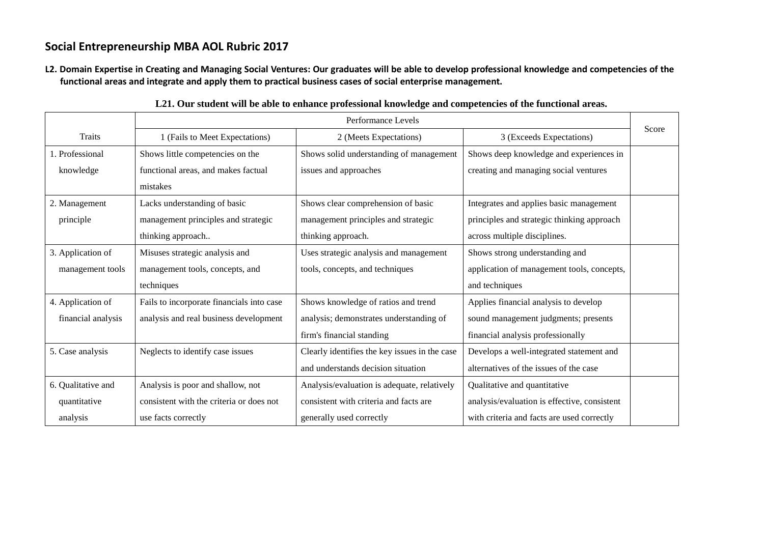**L2. Domain Expertise in Creating and Managing Social Ventures: Our graduates will be able to develop professional knowledge and competencies of the functional areas and integrate and apply them to practical business cases of social enterprise management.**

|                    |                                           | Performance Levels                            |                                              | Score |
|--------------------|-------------------------------------------|-----------------------------------------------|----------------------------------------------|-------|
| Traits             | 1 (Fails to Meet Expectations)            | 2 (Meets Expectations)                        | 3 (Exceeds Expectations)                     |       |
| 1. Professional    | Shows little competencies on the          | Shows solid understanding of management       | Shows deep knowledge and experiences in      |       |
| knowledge          | functional areas, and makes factual       | issues and approaches                         | creating and managing social ventures        |       |
|                    | mistakes                                  |                                               |                                              |       |
| 2. Management      | Lacks understanding of basic              | Shows clear comprehension of basic            | Integrates and applies basic management      |       |
| principle          | management principles and strategic       | management principles and strategic           | principles and strategic thinking approach   |       |
|                    | thinking approach                         | thinking approach.                            | across multiple disciplines.                 |       |
| 3. Application of  | Misuses strategic analysis and            | Uses strategic analysis and management        | Shows strong understanding and               |       |
| management tools   | management tools, concepts, and           | tools, concepts, and techniques               | application of management tools, concepts,   |       |
|                    | techniques                                |                                               | and techniques                               |       |
| 4. Application of  | Fails to incorporate financials into case | Shows knowledge of ratios and trend           | Applies financial analysis to develop        |       |
| financial analysis | analysis and real business development    | analysis; demonstrates understanding of       | sound management judgments; presents         |       |
|                    |                                           | firm's financial standing                     | financial analysis professionally            |       |
| 5. Case analysis   | Neglects to identify case issues          | Clearly identifies the key issues in the case | Develops a well-integrated statement and     |       |
|                    |                                           | and understands decision situation            | alternatives of the issues of the case       |       |
| 6. Qualitative and | Analysis is poor and shallow, not         | Analysis/evaluation is adequate, relatively   | Qualitative and quantitative                 |       |
| quantitative       | consistent with the criteria or does not  | consistent with criteria and facts are        | analysis/evaluation is effective, consistent |       |
| analysis           | use facts correctly                       | generally used correctly                      | with criteria and facts are used correctly   |       |

**L21. Our student will be able to enhance professional knowledge and competencies of the functional areas.**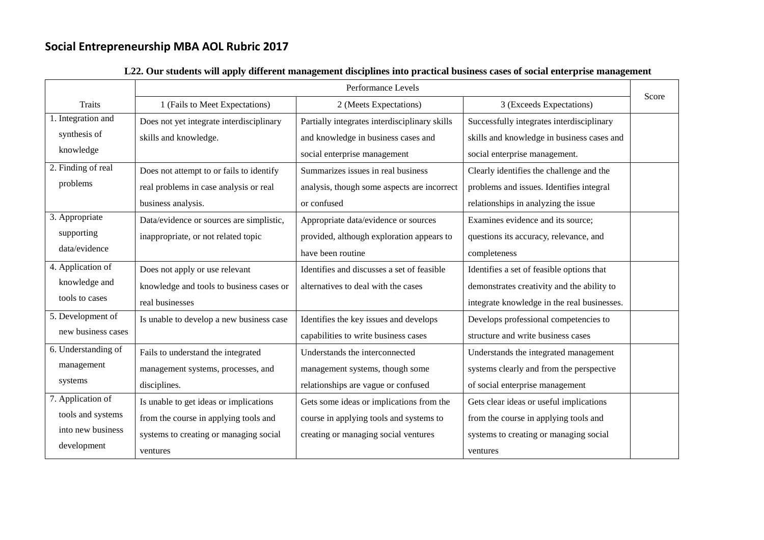|                     | Performance Levels                       |                                               |                                             |       |
|---------------------|------------------------------------------|-----------------------------------------------|---------------------------------------------|-------|
| <b>Traits</b>       | 1 (Fails to Meet Expectations)           | 2 (Meets Expectations)                        | 3 (Exceeds Expectations)                    | Score |
| 1. Integration and  | Does not yet integrate interdisciplinary | Partially integrates interdisciplinary skills | Successfully integrates interdisciplinary   |       |
| synthesis of        | skills and knowledge.                    | and knowledge in business cases and           | skills and knowledge in business cases and  |       |
| knowledge           |                                          | social enterprise management                  | social enterprise management.               |       |
| 2. Finding of real  | Does not attempt to or fails to identify | Summarizes issues in real business            | Clearly identifies the challenge and the    |       |
| problems            | real problems in case analysis or real   | analysis, though some aspects are incorrect   | problems and issues. Identifies integral    |       |
|                     | business analysis.                       | or confused                                   | relationships in analyzing the issue        |       |
| 3. Appropriate      | Data/evidence or sources are simplistic, | Appropriate data/evidence or sources          | Examines evidence and its source;           |       |
| supporting          | inappropriate, or not related topic      | provided, although exploration appears to     | questions its accuracy, relevance, and      |       |
| data/evidence       |                                          | have been routine                             | completeness                                |       |
| 4. Application of   | Does not apply or use relevant           | Identifies and discusses a set of feasible    | Identifies a set of feasible options that   |       |
| knowledge and       | knowledge and tools to business cases or | alternatives to deal with the cases           | demonstrates creativity and the ability to  |       |
| tools to cases      | real businesses                          |                                               | integrate knowledge in the real businesses. |       |
| 5. Development of   | Is unable to develop a new business case | Identifies the key issues and develops        | Develops professional competencies to       |       |
| new business cases  |                                          | capabilities to write business cases          | structure and write business cases          |       |
| 6. Understanding of | Fails to understand the integrated       | Understands the interconnected                | Understands the integrated management       |       |
| management          | management systems, processes, and       | management systems, though some               | systems clearly and from the perspective    |       |
| systems             | disciplines.                             | relationships are vague or confused           | of social enterprise management             |       |
| 7. Application of   | Is unable to get ideas or implications   | Gets some ideas or implications from the      | Gets clear ideas or useful implications     |       |
| tools and systems   | from the course in applying tools and    | course in applying tools and systems to       | from the course in applying tools and       |       |
| into new business   | systems to creating or managing social   | creating or managing social ventures          | systems to creating or managing social      |       |
| development         | ventures                                 |                                               | ventures                                    |       |

### **L22. Our students will apply different management disciplines into practical business cases of social enterprise management**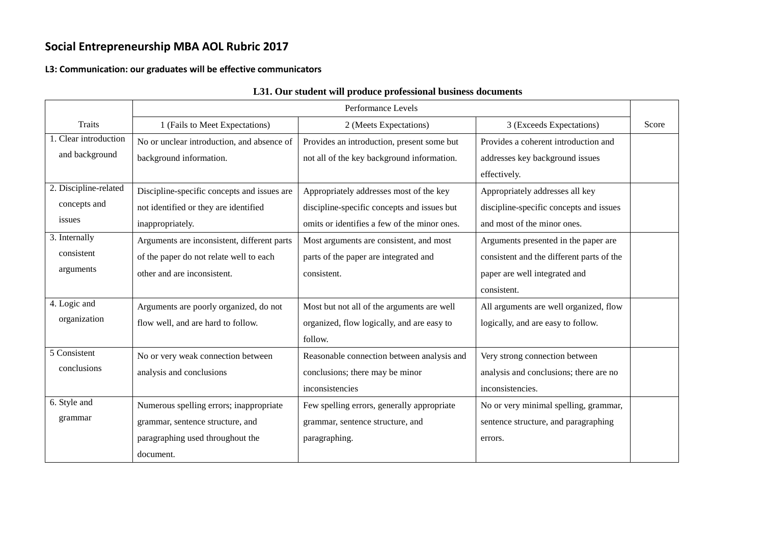#### **L3: Communication: our graduates will be effective communicators**

|                       |                                             | Performance Levels                           |                                           |       |
|-----------------------|---------------------------------------------|----------------------------------------------|-------------------------------------------|-------|
| <b>Traits</b>         | 1 (Fails to Meet Expectations)              | 2 (Meets Expectations)                       | 3 (Exceeds Expectations)                  | Score |
| 1. Clear introduction | No or unclear introduction, and absence of  | Provides an introduction, present some but   | Provides a coherent introduction and      |       |
| and background        | background information.                     | not all of the key background information.   | addresses key background issues           |       |
|                       |                                             |                                              | effectively.                              |       |
| 2. Discipline-related | Discipline-specific concepts and issues are | Appropriately addresses most of the key      | Appropriately addresses all key           |       |
| concepts and          | not identified or they are identified       | discipline-specific concepts and issues but  | discipline-specific concepts and issues   |       |
| issues                | inappropriately.                            | omits or identifies a few of the minor ones. | and most of the minor ones.               |       |
| 3. Internally         | Arguments are inconsistent, different parts | Most arguments are consistent, and most      | Arguments presented in the paper are      |       |
| consistent            | of the paper do not relate well to each     | parts of the paper are integrated and        | consistent and the different parts of the |       |
| arguments             | other and are inconsistent.                 | consistent.                                  | paper are well integrated and             |       |
|                       |                                             |                                              | consistent.                               |       |
| 4. Logic and          | Arguments are poorly organized, do not      | Most but not all of the arguments are well   | All arguments are well organized, flow    |       |
| organization          | flow well, and are hard to follow.          | organized, flow logically, and are easy to   | logically, and are easy to follow.        |       |
|                       |                                             | follow.                                      |                                           |       |
| 5 Consistent          | No or very weak connection between          | Reasonable connection between analysis and   | Very strong connection between            |       |
| conclusions           | analysis and conclusions                    | conclusions; there may be minor              | analysis and conclusions; there are no    |       |
|                       |                                             | inconsistencies                              | inconsistencies.                          |       |
| 6. Style and          | Numerous spelling errors; inappropriate     | Few spelling errors, generally appropriate   | No or very minimal spelling, grammar,     |       |
| grammar               | grammar, sentence structure, and            | grammar, sentence structure, and             | sentence structure, and paragraphing      |       |
|                       | paragraphing used throughout the            | paragraphing.                                | errors.                                   |       |
|                       | document.                                   |                                              |                                           |       |

### **L31. Our student will produce professional business documents**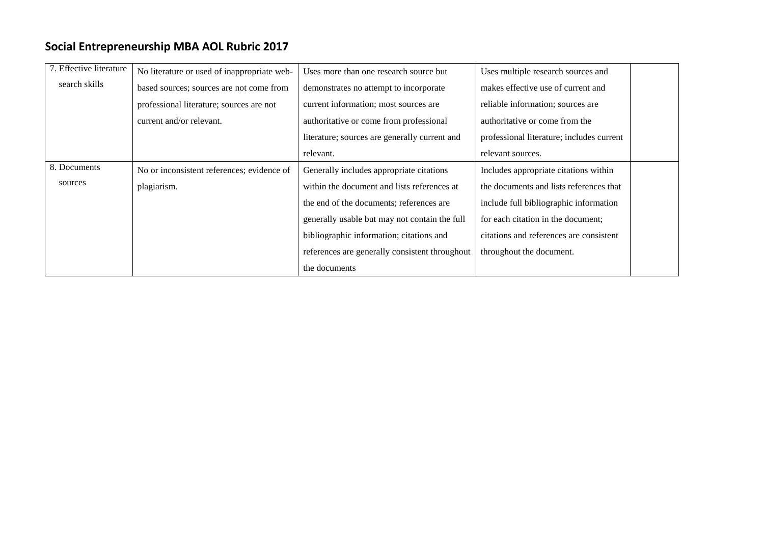| 7. Effective literature | No literature or used of inappropriate web- | Uses more than one research source but         | Uses multiple research sources and        |
|-------------------------|---------------------------------------------|------------------------------------------------|-------------------------------------------|
| search skills           | based sources; sources are not come from    | demonstrates no attempt to incorporate         | makes effective use of current and        |
|                         | professional literature; sources are not    | current information; most sources are          | reliable information; sources are         |
|                         | current and/or relevant.                    | authoritative or come from professional        | authoritative or come from the            |
|                         |                                             | literature; sources are generally current and  | professional literature; includes current |
|                         |                                             | relevant.                                      | relevant sources.                         |
| 8. Documents            | No or inconsistent references; evidence of  | Generally includes appropriate citations       | Includes appropriate citations within     |
| sources                 | plagiarism.                                 | within the document and lists references at    | the documents and lists references that   |
|                         |                                             | the end of the documents; references are       | include full bibliographic information    |
|                         |                                             | generally usable but may not contain the full  | for each citation in the document;        |
|                         |                                             | bibliographic information; citations and       | citations and references are consistent   |
|                         |                                             | references are generally consistent throughout | throughout the document.                  |
|                         |                                             | the documents                                  |                                           |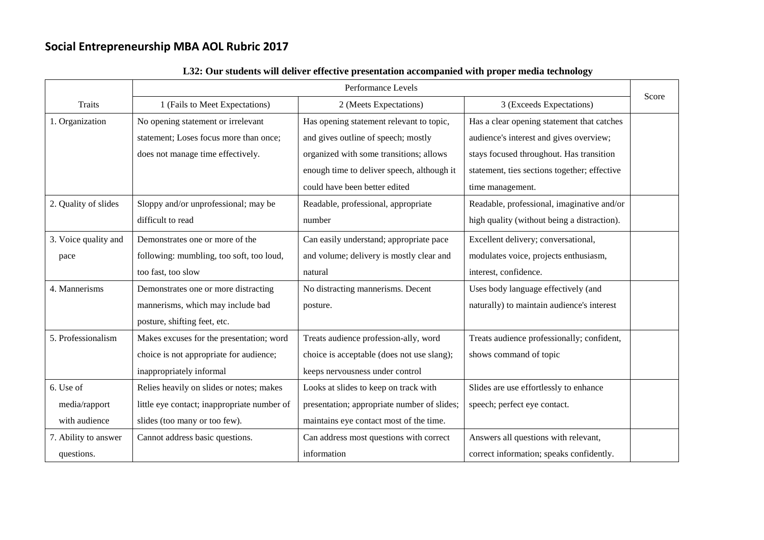|                      | Performance Levels                          |                                             |                                              |       |
|----------------------|---------------------------------------------|---------------------------------------------|----------------------------------------------|-------|
| <b>Traits</b>        | 1 (Fails to Meet Expectations)              | 2 (Meets Expectations)                      | 3 (Exceeds Expectations)                     | Score |
| 1. Organization      | No opening statement or irrelevant          | Has opening statement relevant to topic,    | Has a clear opening statement that catches   |       |
|                      | statement; Loses focus more than once;      | and gives outline of speech; mostly         | audience's interest and gives overview;      |       |
|                      | does not manage time effectively.           | organized with some transitions; allows     | stays focused throughout. Has transition     |       |
|                      |                                             | enough time to deliver speech, although it  | statement, ties sections together; effective |       |
|                      |                                             | could have been better edited               | time management.                             |       |
| 2. Quality of slides | Sloppy and/or unprofessional; may be        | Readable, professional, appropriate         | Readable, professional, imaginative and/or   |       |
|                      | difficult to read                           | number                                      | high quality (without being a distraction).  |       |
| 3. Voice quality and | Demonstrates one or more of the             | Can easily understand; appropriate pace     | Excellent delivery; conversational,          |       |
| pace                 | following: mumbling, too soft, too loud,    | and volume; delivery is mostly clear and    | modulates voice, projects enthusiasm,        |       |
|                      | too fast, too slow                          | natural                                     | interest, confidence.                        |       |
| 4. Mannerisms        | Demonstrates one or more distracting        | No distracting mannerisms. Decent           | Uses body language effectively (and          |       |
|                      | mannerisms, which may include bad           | posture.                                    | naturally) to maintain audience's interest   |       |
|                      | posture, shifting feet, etc.                |                                             |                                              |       |
| 5. Professionalism   | Makes excuses for the presentation; word    | Treats audience profession-ally, word       | Treats audience professionally; confident,   |       |
|                      | choice is not appropriate for audience;     | choice is acceptable (does not use slang);  | shows command of topic                       |       |
|                      | inappropriately informal                    | keeps nervousness under control             |                                              |       |
| 6. Use of            | Relies heavily on slides or notes; makes    | Looks at slides to keep on track with       | Slides are use effortlessly to enhance       |       |
| media/rapport        | little eye contact; inappropriate number of | presentation; appropriate number of slides; | speech; perfect eye contact.                 |       |
| with audience        | slides (too many or too few).               | maintains eye contact most of the time.     |                                              |       |
| 7. Ability to answer | Cannot address basic questions.             | Can address most questions with correct     | Answers all questions with relevant,         |       |
| questions.           |                                             | information                                 | correct information; speaks confidently.     |       |

### **L32: Our students will deliver effective presentation accompanied with proper media technology**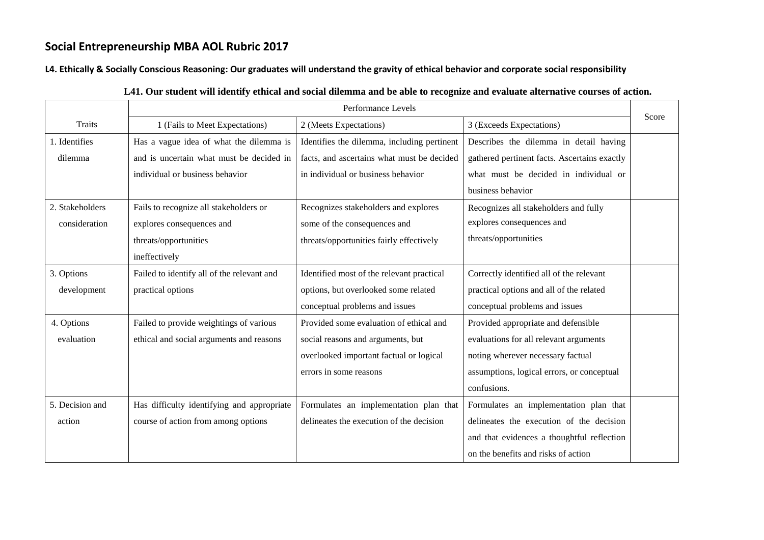#### **L4. Ethically & Socially Conscious Reasoning: Our graduates will understand the gravity of ethical behavior and corporate social responsibility**

|                 | Performance Levels                         |                                             |                                              |       |
|-----------------|--------------------------------------------|---------------------------------------------|----------------------------------------------|-------|
| <b>Traits</b>   | 1 (Fails to Meet Expectations)             | 2 (Meets Expectations)                      | 3 (Exceeds Expectations)                     | Score |
| 1. Identifies   | Has a vague idea of what the dilemma is    | Identifies the dilemma, including pertinent | Describes the dilemma in detail having       |       |
| dilemma         | and is uncertain what must be decided in   | facts, and ascertains what must be decided  | gathered pertinent facts. Ascertains exactly |       |
|                 | individual or business behavior            | in individual or business behavior          | what must be decided in individual or        |       |
|                 |                                            |                                             | business behavior                            |       |
| 2. Stakeholders | Fails to recognize all stakeholders or     | Recognizes stakeholders and explores        | Recognizes all stakeholders and fully        |       |
| consideration   | explores consequences and                  | some of the consequences and                | explores consequences and                    |       |
|                 | threats/opportunities                      | threats/opportunities fairly effectively    | threats/opportunities                        |       |
|                 | ineffectively                              |                                             |                                              |       |
| 3. Options      | Failed to identify all of the relevant and | Identified most of the relevant practical   | Correctly identified all of the relevant     |       |
| development     | practical options                          | options, but overlooked some related        | practical options and all of the related     |       |
|                 |                                            | conceptual problems and issues              | conceptual problems and issues               |       |
| 4. Options      | Failed to provide weightings of various    | Provided some evaluation of ethical and     | Provided appropriate and defensible          |       |
| evaluation      | ethical and social arguments and reasons   | social reasons and arguments, but           | evaluations for all relevant arguments       |       |
|                 |                                            | overlooked important factual or logical     | noting wherever necessary factual            |       |
|                 |                                            | errors in some reasons                      | assumptions, logical errors, or conceptual   |       |
|                 |                                            |                                             | confusions.                                  |       |
| 5. Decision and | Has difficulty identifying and appropriate | Formulates an implementation plan that      | Formulates an implementation plan that       |       |
| action          | course of action from among options        | delineates the execution of the decision    | delineates the execution of the decision     |       |
|                 |                                            |                                             | and that evidences a thoughtful reflection   |       |
|                 |                                            |                                             | on the benefits and risks of action          |       |

#### **L41. Our student will identify ethical and social dilemma and be able to recognize and evaluate alternative courses of action.**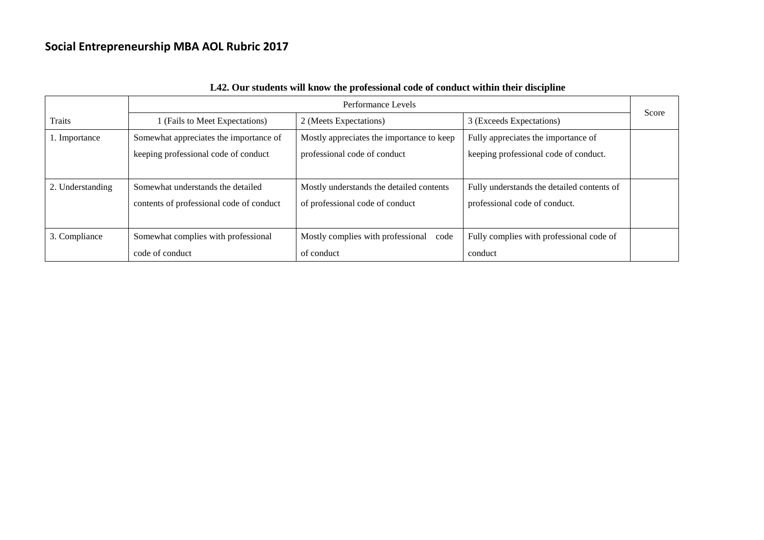|                  | Performance Levels                       |                                           |                                            |       |
|------------------|------------------------------------------|-------------------------------------------|--------------------------------------------|-------|
| <b>Traits</b>    | 1 (Fails to Meet Expectations)           | 2 (Meets Expectations)                    | 3 (Exceeds Expectations)                   | Score |
| 1. Importance    | Somewhat appreciates the importance of   | Mostly appreciates the importance to keep | Fully appreciates the importance of        |       |
|                  | keeping professional code of conduct     | professional code of conduct              | keeping professional code of conduct.      |       |
|                  |                                          |                                           |                                            |       |
| 2. Understanding | Somewhat understands the detailed        | Mostly understands the detailed contents  | Fully understands the detailed contents of |       |
|                  | contents of professional code of conduct | of professional code of conduct           | professional code of conduct.              |       |
|                  |                                          |                                           |                                            |       |
| 3. Compliance    | Somewhat complies with professional      | Mostly complies with professional code    | Fully complies with professional code of   |       |
|                  | code of conduct                          | of conduct                                | conduct                                    |       |

### **L42. Our students will know the professional code of conduct within their discipline**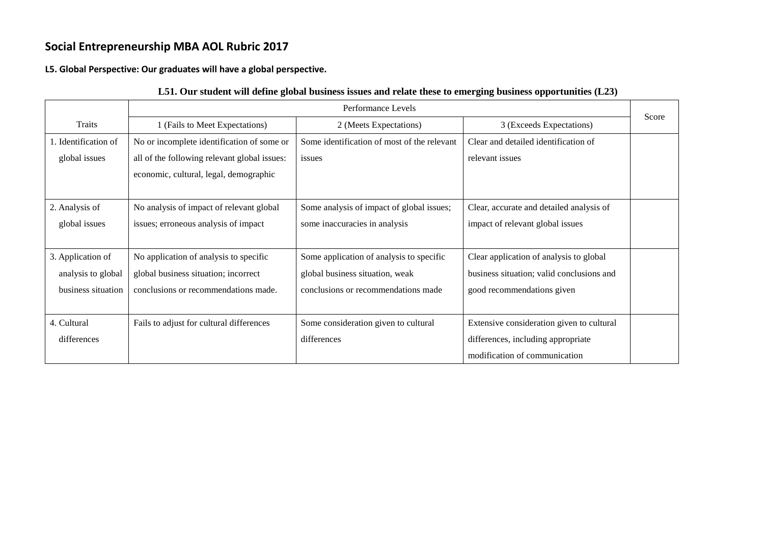**L5. Global Perspective: Our graduates will have a global perspective.**

|                      |                                              | Performance Levels                          |                                           |       |  |
|----------------------|----------------------------------------------|---------------------------------------------|-------------------------------------------|-------|--|
| <b>Traits</b>        | 1 (Fails to Meet Expectations)               | 2 (Meets Expectations)                      | 3 (Exceeds Expectations)                  | Score |  |
| 1. Identification of | No or incomplete identification of some or   | Some identification of most of the relevant | Clear and detailed identification of      |       |  |
| global issues        | all of the following relevant global issues: | issues                                      | relevant issues                           |       |  |
|                      | economic, cultural, legal, demographic       |                                             |                                           |       |  |
|                      |                                              |                                             |                                           |       |  |
| 2. Analysis of       | No analysis of impact of relevant global     | Some analysis of impact of global issues;   | Clear, accurate and detailed analysis of  |       |  |
| global issues        | issues; erroneous analysis of impact         | some inaccuracies in analysis               | impact of relevant global issues          |       |  |
|                      |                                              |                                             |                                           |       |  |
| 3. Application of    | No application of analysis to specific       | Some application of analysis to specific    | Clear application of analysis to global   |       |  |
| analysis to global   | global business situation; incorrect         | global business situation, weak             | business situation; valid conclusions and |       |  |
| business situation   | conclusions or recommendations made.         | conclusions or recommendations made         | good recommendations given                |       |  |
|                      |                                              |                                             |                                           |       |  |
| 4. Cultural          | Fails to adjust for cultural differences     | Some consideration given to cultural        | Extensive consideration given to cultural |       |  |
| differences          |                                              | differences                                 | differences, including appropriate        |       |  |
|                      |                                              |                                             | modification of communication             |       |  |

### **L51. Our student will define global business issues and relate these to emerging business opportunities (L23)**